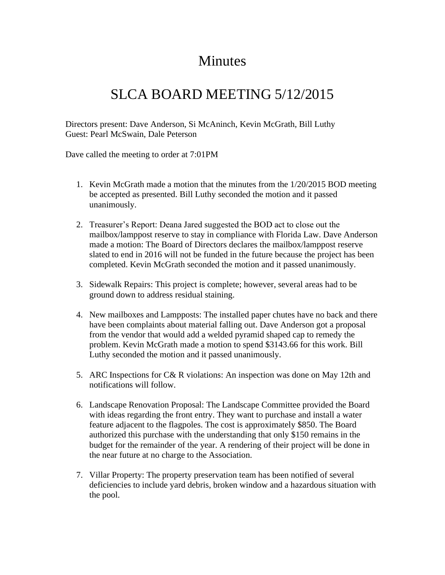## Minutes

## SLCA BOARD MEETING 5/12/2015

Directors present: Dave Anderson, Si McAninch, Kevin McGrath, Bill Luthy Guest: Pearl McSwain, Dale Peterson

Dave called the meeting to order at 7:01PM

- 1. Kevin McGrath made a motion that the minutes from the 1/20/2015 BOD meeting be accepted as presented. Bill Luthy seconded the motion and it passed unanimously.
- 2. Treasurer's Report: Deana Jared suggested the BOD act to close out the mailbox/lamppost reserve to stay in compliance with Florida Law. Dave Anderson made a motion: The Board of Directors declares the mailbox/lamppost reserve slated to end in 2016 will not be funded in the future because the project has been completed. Kevin McGrath seconded the motion and it passed unanimously.
- 3. Sidewalk Repairs: This project is complete; however, several areas had to be ground down to address residual staining.
- 4. New mailboxes and Lampposts: The installed paper chutes have no back and there have been complaints about material falling out. Dave Anderson got a proposal from the vendor that would add a welded pyramid shaped cap to remedy the problem. Kevin McGrath made a motion to spend \$3143.66 for this work. Bill Luthy seconded the motion and it passed unanimously.
- 5. ARC Inspections for C& R violations: An inspection was done on May 12th and notifications will follow.
- 6. Landscape Renovation Proposal: The Landscape Committee provided the Board with ideas regarding the front entry. They want to purchase and install a water feature adjacent to the flagpoles. The cost is approximately \$850. The Board authorized this purchase with the understanding that only \$150 remains in the budget for the remainder of the year. A rendering of their project will be done in the near future at no charge to the Association.
- 7. Villar Property: The property preservation team has been notified of several deficiencies to include yard debris, broken window and a hazardous situation with the pool.